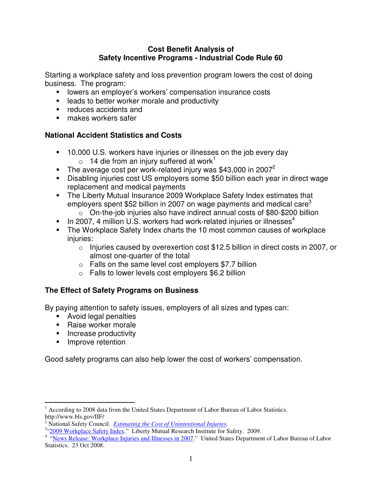#### **Cost Benefit Analysis of Safety Incentive Programs - Industrial Code Rule 60**

Starting a workplace safety and loss prevention program lowers the cost of doing business. The program:

- **IDE 108 IDE 108 IDE 108 IDE 108 IDE 108 IDE 108 IDE 108 IDE 108 IOE 108 IDE 108 IOE 108 IOE 108 IOE 108 IOE 108 IOE 108 IOE 108 IOE 108 IOE 108 IOE 108 IOE 108 IOE 108 IOE 108 IOE 108 IOE 108 IOE 108 IOE 108 IOE 108 IOE 1**
- **EXEC** leads to better worker morale and productivity
- **•** reduces accidents and
- **nakes workers safer**

### **National Accident Statistics and Costs**

- 10,000 U.S. workers have injuries or illnesses on the job every day  $\circ$  14 die from an injury suffered at work<sup>1</sup>
- The average cost per work-related injury was \$43,000 in 2007<sup>2</sup>
- Disabling injuries cost US employers some \$50 billion each year in direct wage replacement and medical payments
- **The Liberty Mutual Insurance 2009 Workplace Safety Index estimates that** employers spent \$52 billion in 2007 on wage payments and medical care<sup>3</sup>
	- o On-the-job injuries also have indirect annual costs of \$80-\$200 billion
- In 2007, 4 million U.S. workers had work-related injuries or illnesses<sup>4</sup>
- The Workplace Safety Index charts the 10 most common causes of workplace injuries:
	- o Injuries caused by overexertion cost \$12.5 billion in direct costs in 2007, or almost one-quarter of the total
	- $\circ$  Falls on the same level cost employers \$7.7 billion
	- $\circ$  Falls to lower levels cost employers \$6.2 billion

# **The Effect of Safety Programs on Business**

By paying attention to safety issues, employers of all sizes and types can:

- **Avoid legal penalties**
- Raise worker morale
- **Increase productivity**
- **Improve retention**

Good safety programs can also help lower the cost of workers' compensation.

 $\overline{a}$ <sup>1</sup> According to 2008 data from the United States Department of Labor Bureau of Labor Statistics. http://www.bls.gov/IIF/

<sup>2</sup> National Safety Council. *Estimating the Cost of Unintentional Injuries*.

<sup>&</sup>lt;sup>3.4</sup> 2009 Workplace Safety Index." Liberty Mutual Research Institute for Safety. 2009.<br><sup>4</sup> "<u>News Release: Workplace Injuries and Illnesses in 2007</u>." United States Department of Labor Bureau of Labor Statistics. 23 Oct 2008.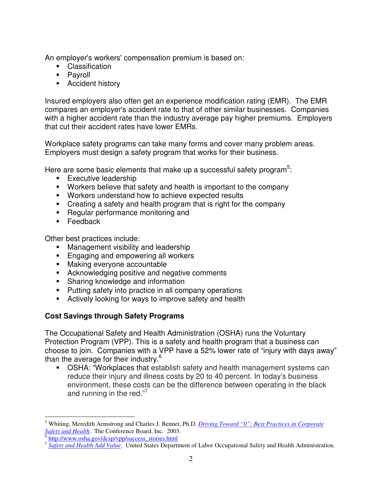An employer's workers' compensation premium is based on:

- Classification
- **Payroll**
- **Accident history**

Insured employers also often get an experience modification rating (EMR). The EMR compares an employer's accident rate to that of other similar businesses. Companies with a higher accident rate than the industry average pay higher premiums. Employers that cut their accident rates have lower EMRs.

Workplace safety programs can take many forms and cover many problem areas. Employers must design a safety program that works for their business.

Here are some basic elements that make up a successful safety program $5$ :

- **Executive leadership**
- Workers believe that safety and health is important to the company
- Workers understand how to achieve expected results
- Creating a safety and health program that is right for the company
- **Regular performance monitoring and**
- **Feedback**

Other best practices include:

- **Management visibility and leadership**
- **Engaging and empowering all workers**
- **Making everyone accountable**
- **EXEDENT** Acknowledging positive and negative comments
- **Sharing knowledge and information**
- Putting safety into practice in all company operations
- Actively looking for ways to improve safety and health

# **Cost Savings through Safety Programs**

The Occupational Safety and Health Administration (OSHA) runs the Voluntary Protection Program (VPP). This is a safety and health program that a business can choose to join. Companies with a VPP have a 52% lower rate of "injury with days away" than the average for their industry.<sup>6</sup>

 OSHA: "Workplaces that establish safety and health management systems can reduce their injury and illness costs by 20 to 40 percent. In today's business environment, these costs can be the difference between operating in the black and running in the red."<sup>7</sup>

 $\overline{a}$ 

<sup>5</sup> Whiting, Meredith Armstrong and Charles J. Bennet, Ph.D. *Driving Toward "0": Best Practices in Corporate*  Safety and Health. The Conference Board, Inc. 2003.<br><sup>6</sup> http://www.osha.gov/dcsp/vpp/success\_stories.html

<sup>&</sup>lt;sup>7</sup> Safety and Health Add Value. United States Department of Labor Occupational Safety and Health Administration.